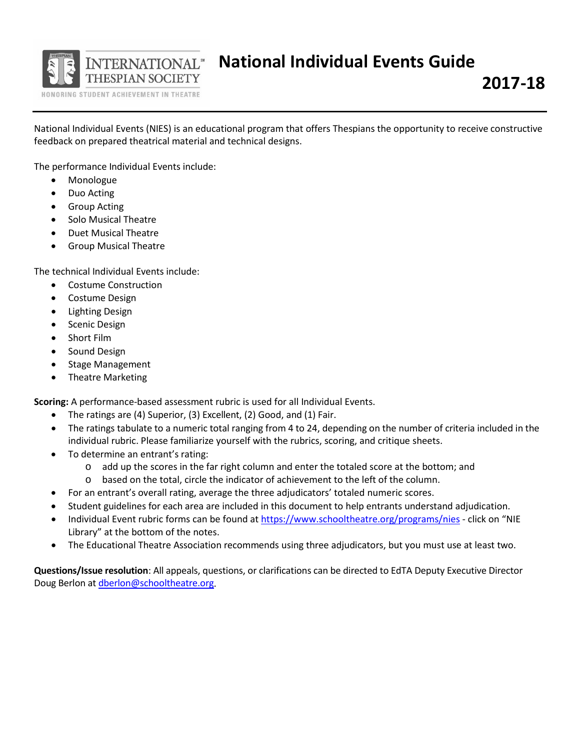

National Individual Events (NIES) is an educational program that offers Thespians the opportunity to receive constructive feedback on prepared theatrical material and technical designs.

The performance Individual Events include:

- Monologue
- Duo Acting
- Group Acting
- Solo Musical Theatre
- Duet Musical Theatre
- Group Musical Theatre

The technical Individual Events include:

- Costume Construction
- Costume Design
- Lighting Design
- Scenic Design
- Short Film
- Sound Design
- Stage Management
- Theatre Marketing

**Scoring:** A performance-based assessment rubric is used for all Individual Events.

- The ratings are (4) Superior, (3) Excellent, (2) Good, and (1) Fair.
- The ratings tabulate to a numeric total ranging from 4 to 24, depending on the number of criteria included in the individual rubric. Please familiarize yourself with the rubrics, scoring, and critique sheets.
- To determine an entrant's rating:
	- o add up the scores in the far right column and enter the totaled score at the bottom; and
	- o based on the total, circle the indicator of achievement to the left of the column.
- For an entrant's overall rating, average the three adjudicators' totaled numeric scores.
- Student guidelines for each area are included in this document to help entrants understand adjudication.
- Individual Event rubric forms can be found at <https://www.schooltheatre.org/programs/nies> click on "NIE Library" at the bottom of the notes.
- The Educational Theatre Association recommends using three adjudicators, but you must use at least two.

**Questions/Issue resolution**: All appeals, questions, or clarifications can be directed to EdTA Deputy Executive Director Doug Berlon at [dberlon@schooltheatre.org.](mailto:dberlon@schooltheatre.org)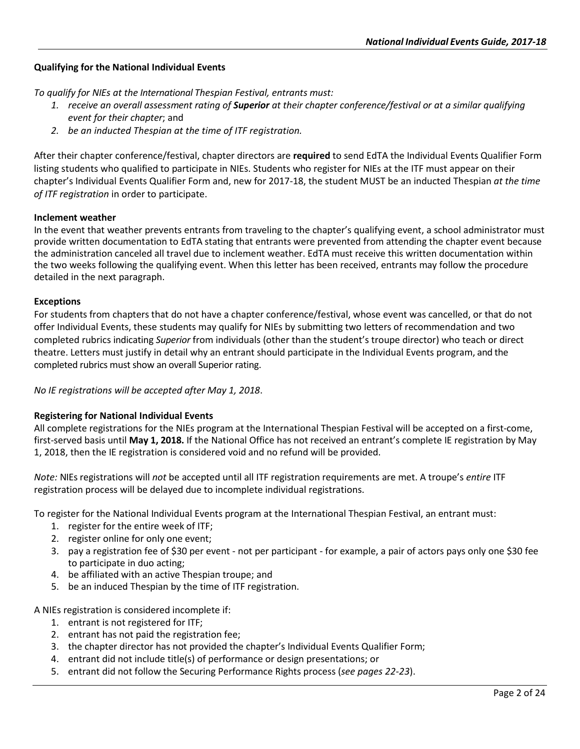## **Qualifying for the National Individual Events**

*To qualify for NIEs at the International Thespian Festival, entrants must:*

- 1. receive an overall assessment rating of **Superior** at their chapter conference/festival or at a similar qualifying *event for their chapter*; and
- *2. be an inducted Thespian at the time of ITF registration.*

After their chapter conference/festival, chapter directors are **required** to send EdTA the Individual Events Qualifier Form listing students who qualified to participate in NIEs. Students who register for NIEs at the ITF must appear on their chapter's Individual Events Qualifier Form and, new for 2017-18, the student MUST be an inducted Thespian *at the time of ITF registration* in order to participate.

#### **Inclement weather**

In the event that weather prevents entrants from traveling to the chapter's qualifying event, a school administrator must provide written documentation to EdTA stating that entrants were prevented from attending the chapter event because the administration canceled all travel due to inclement weather. EdTA must receive this written documentation within the two weeks following the qualifying event. When this letter has been received, entrants may follow the procedure detailed in the next paragraph.

#### **Exceptions**

For students from chapters that do not have a chapter conference/festival, whose event was cancelled, or that do not offer Individual Events, these students may qualify for NIEs by submitting two letters of recommendation and two completed rubrics indicating *Superior* from individuals (other than the student's troupe director) who teach or direct theatre. Letters must justify in detail why an entrant should participate in the Individual Events program, and the completed rubrics must show an overall Superior rating.

*No IE registrations will be accepted after May 1, 2018*.

### **Registering for National Individual Events**

All complete registrations for the NIEs program at the International Thespian Festival will be accepted on a first-come, first-served basis until **May 1, 2018.** If the National Office has not received an entrant's complete IE registration by May 1, 2018, then the IE registration is considered void and no refund will be provided.

*Note:* NIEsregistrations will *not* be accepted until all ITF registration requirements are met. A troupe's *entire* ITF registration process will be delayed due to incomplete individual registrations.

To register for the National Individual Events program at the International Thespian Festival, an entrant must:

- 1. register for the entire week of ITF;
- 2. register online for only one event;
- 3. pay a registration fee of \$30 per event not per participant for example, a pair of actors pays only one \$30 fee to participate in duo acting;
- 4. be affiliated with an active Thespian troupe; and
- 5. be an induced Thespian by the time of ITF registration.

A NIEs registration is considered incomplete if:

- 1. entrant is not registered for ITF;
- 2. entrant has not paid the registration fee;
- 3. the chapter director has not provided the chapter's Individual Events Qualifier Form;
- 4. entrant did not include title(s) of performance or design presentations; or
- 5. entrant did not follow the Securing Performance Rights process (*see pages 22-23*).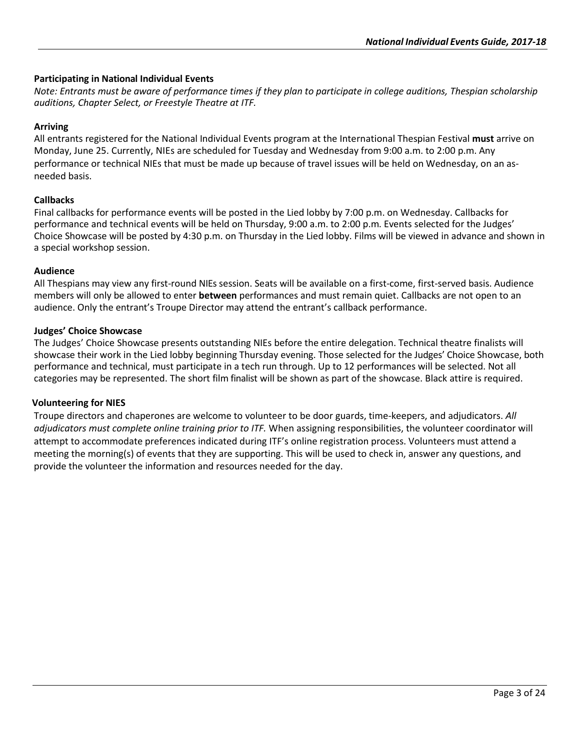### **Participating in National Individual Events**

*Note: Entrants must be aware of performance times if they plan to participate in college auditions, Thespian scholarship auditions, Chapter Select, or Freestyle Theatre at ITF.*

#### **Arriving**

All entrants registered for the National Individual Events program at the International Thespian Festival **must** arrive on Monday, June 25. Currently, NIEs are scheduled for Tuesday and Wednesday from 9:00 a.m. to 2:00 p.m. Any performance or technical NIEs that must be made up because of travel issues will be held on Wednesday, on an asneeded basis.

#### **Callbacks**

Final callbacks for performance events will be posted in the Lied lobby by 7:00 p.m. on Wednesday. Callbacks for performance and technical events will be held on Thursday, 9:00 a.m. to 2:00 p.m. Events selected for the Judges' Choice Showcase will be posted by 4:30 p.m. on Thursday in the Lied lobby. Films will be viewed in advance and shown in a special workshop session.

#### **Audience**

All Thespians may view any first-round NIEs session. Seats will be available on a first-come, first-served basis. Audience members will only be allowed to enter **between** performances and must remain quiet. Callbacks are not open to an audience. Only the entrant's Troupe Director may attend the entrant's callback performance.

#### **Judges' Choice Showcase**

The Judges' Choice Showcase presents outstanding NIEs before the entire delegation. Technical theatre finalists will showcase their work in the Lied lobby beginning Thursday evening. Those selected for the Judges' Choice Showcase, both performance and technical, must participate in a tech run through. Up to 12 performances will be selected. Not all categories may be represented. The short film finalist will be shown as part of the showcase. Black attire is required.

#### **Volunteering for NIES**

Troupe directors and chaperones are welcome to volunteer to be door guards, time-keepers, and adjudicators. *All adjudicators must complete online training prior to ITF.* When assigning responsibilities, the volunteer coordinator will attempt to accommodate preferences indicated during ITF's online registration process. Volunteers must attend a meeting the morning(s) of events that they are supporting. This will be used to check in, answer any questions, and provide the volunteer the information and resources needed for the day.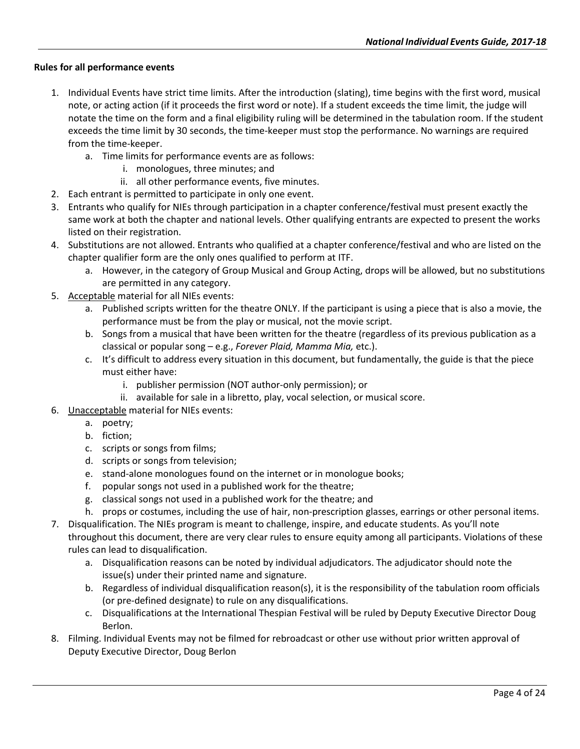### **Rules for all performance events**

- 1. Individual Events have strict time limits. After the introduction (slating), time begins with the first word, musical note, or acting action (if it proceeds the first word or note). If a student exceeds the time limit, the judge will notate the time on the form and a final eligibility ruling will be determined in the tabulation room. If the student exceeds the time limit by 30 seconds, the time-keeper must stop the performance. No warnings are required from the time-keeper.
	- a. Time limits for performance events are as follows:
		- i. monologues, three minutes; and
		- ii. all other performance events, five minutes.
- 2. Each entrant is permitted to participate in only one event.
- 3. Entrants who qualify for NIEs through participation in a chapter conference/festival must present exactly the same work at both the chapter and national levels. Other qualifying entrants are expected to present the works listed on their registration.
- 4. Substitutions are not allowed. Entrants who qualified at a chapter conference/festival and who are listed on the chapter qualifier form are the only ones qualified to perform at ITF.
	- a. However, in the category of Group Musical and Group Acting, drops will be allowed, but no substitutions are permitted in any category.
- 5. Acceptable material for all NIEs events:
	- a. Published scripts written for the theatre ONLY. If the participant is using a piece that is also a movie, the performance must be from the play or musical, not the movie script.
	- b. Songs from a musical that have been written for the theatre (regardless of its previous publication as a classical or popular song – e.g., *Forever Plaid, Mamma Mia,* etc.).
	- c. It's difficult to address every situation in this document, but fundamentally, the guide is that the piece must either have:
		- i. publisher permission (NOT author-only permission); or
		- ii. available for sale in a libretto, play, vocal selection, or musical score.
- 6. Unacceptable material for NIEs events:
	- a. poetry;
	- b. fiction;
	- c. scripts or songs from films;
	- d. scripts or songs from television;
	- e. stand-alone monologues found on the internet or in monologue books;
	- f. popular songs not used in a published work for the theatre;
	- g. classical songs not used in a published work for the theatre; and
	- h. props or costumes, including the use of hair, non-prescription glasses, earrings or other personal items.
- 7. Disqualification. The NIEs program is meant to challenge, inspire, and educate students. As you'll note throughout this document, there are very clear rules to ensure equity among all participants. Violations of these rules can lead to disqualification.
	- a. Disqualification reasons can be noted by individual adjudicators. The adjudicator should note the issue(s) under their printed name and signature.
	- b. Regardless of individual disqualification reason(s), it is the responsibility of the tabulation room officials (or pre-defined designate) to rule on any disqualifications.
	- c. Disqualifications at the International Thespian Festival will be ruled by Deputy Executive Director Doug Berlon.
- 8. Filming. Individual Events may not be filmed for rebroadcast or other use without prior written approval of Deputy Executive Director, Doug Berlon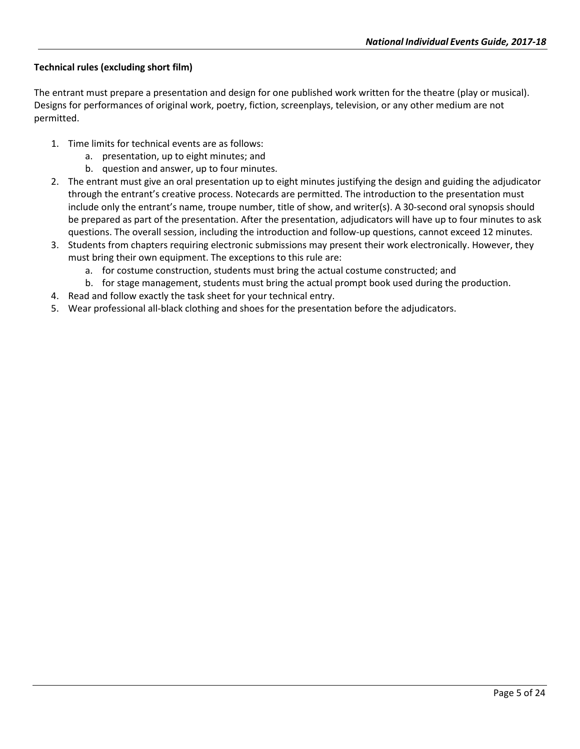# **Technical rules (excluding short film)**

The entrant must prepare a presentation and design for one published work written for the theatre (play or musical). Designs for performances of original work, poetry, fiction, screenplays, television, or any other medium are not permitted.

- 1. Time limits for technical events are as follows:
	- a. presentation, up to eight minutes; and
	- b. question and answer, up to four minutes.
- 2. The entrant must give an oral presentation up to eight minutes justifying the design and guiding the adjudicator through the entrant's creative process. Notecards are permitted. The introduction to the presentation must include only the entrant's name, troupe number, title of show, and writer(s). A 30-second oral synopsis should be prepared as part of the presentation. After the presentation, adjudicators will have up to four minutes to ask questions. The overall session, including the introduction and follow-up questions, cannot exceed 12 minutes.
- 3. Students from chapters requiring electronic submissions may present their work electronically. However, they must bring their own equipment. The exceptions to this rule are:
	- a. for costume construction, students must bring the actual costume constructed; and
	- b. for stage management, students must bring the actual prompt book used during the production.
- 4. Read and follow exactly the task sheet for your technical entry.
- 5. Wear professional all-black clothing and shoes for the presentation before the adjudicators.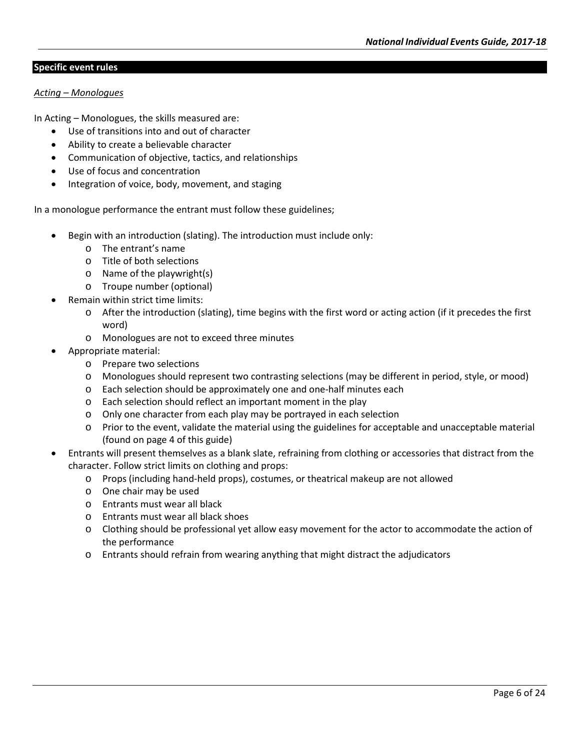### **Specific event rules**

#### *Acting – Monologues*

In Acting – Monologues, the skills measured are:

- Use of transitions into and out of character
- Ability to create a believable character
- Communication of objective, tactics, and relationships
- Use of focus and concentration
- Integration of voice, body, movement, and staging

In a monologue performance the entrant must follow these guidelines;

- Begin with an introduction (slating). The introduction must include only:
	- o The entrant's name
	- o Title of both selections
	- o Name of the playwright(s)
	- o Troupe number (optional)
- Remain within strict time limits:
	- o After the introduction (slating), time begins with the first word or acting action (if it precedes the first word)
	- o Monologues are not to exceed three minutes
- Appropriate material:
	- o Prepare two selections
	- o Monologues should represent two contrasting selections (may be different in period, style, or mood)
	- o Each selection should be approximately one and one-half minutes each
	- o Each selection should reflect an important moment in the play
	- o Only one character from each play may be portrayed in each selection
	- o Prior to the event, validate the material using the guidelines for acceptable and unacceptable material (found on page 4 of this guide)
- Entrants will present themselves as a blank slate, refraining from clothing or accessories that distract from the character. Follow strict limits on clothing and props:
	- o Props (including hand-held props), costumes, or theatrical makeup are not allowed
	- o One chair may be used
	- o Entrants must wear all black
	- o Entrants must wear all black shoes
	- o Clothing should be professional yet allow easy movement for the actor to accommodate the action of the performance
	- o Entrants should refrain from wearing anything that might distract the adjudicators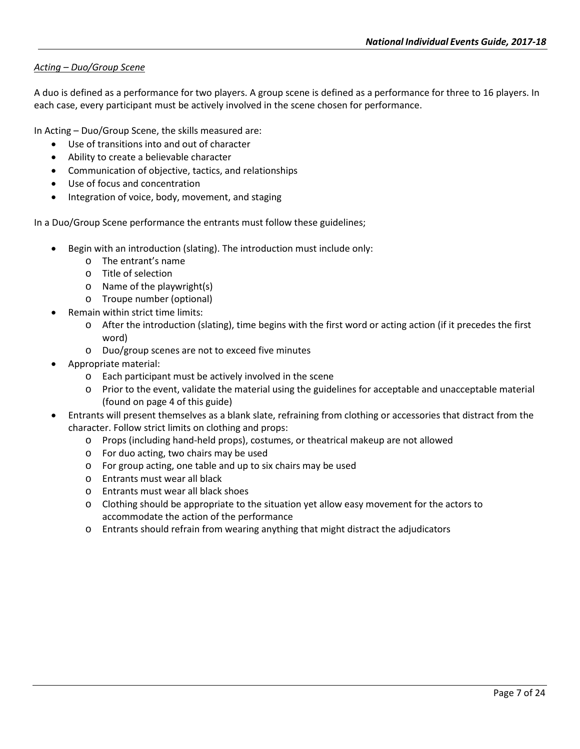## *Acting – Duo/Group Scene*

A duo is defined as a performance for two players. A group scene is defined as a performance for three to 16 players. In each case, every participant must be actively involved in the scene chosen for performance.

In Acting – Duo/Group Scene, the skills measured are:

- Use of transitions into and out of character
- Ability to create a believable character
- Communication of objective, tactics, and relationships
- Use of focus and concentration
- Integration of voice, body, movement, and staging

In a Duo/Group Scene performance the entrants must follow these guidelines;

- Begin with an introduction (slating). The introduction must include only:
	- o The entrant's name
	- o Title of selection
	- o Name of the playwright(s)
	- o Troupe number (optional)
- Remain within strict time limits:
	- o After the introduction (slating), time begins with the first word or acting action (if it precedes the first word)
	- o Duo/group scenes are not to exceed five minutes
- Appropriate material:
	- o Each participant must be actively involved in the scene
	- o Prior to the event, validate the material using the guidelines for acceptable and unacceptable material (found on page 4 of this guide)
- Entrants will present themselves as a blank slate, refraining from clothing or accessories that distract from the character. Follow strict limits on clothing and props:
	- o Props (including hand-held props), costumes, or theatrical makeup are not allowed
	- o For duo acting, two chairs may be used
	- o For group acting, one table and up to six chairs may be used
	- o Entrants must wear all black
	- o Entrants must wear all black shoes
	- o Clothing should be appropriate to the situation yet allow easy movement for the actors to accommodate the action of the performance
	- o Entrants should refrain from wearing anything that might distract the adjudicators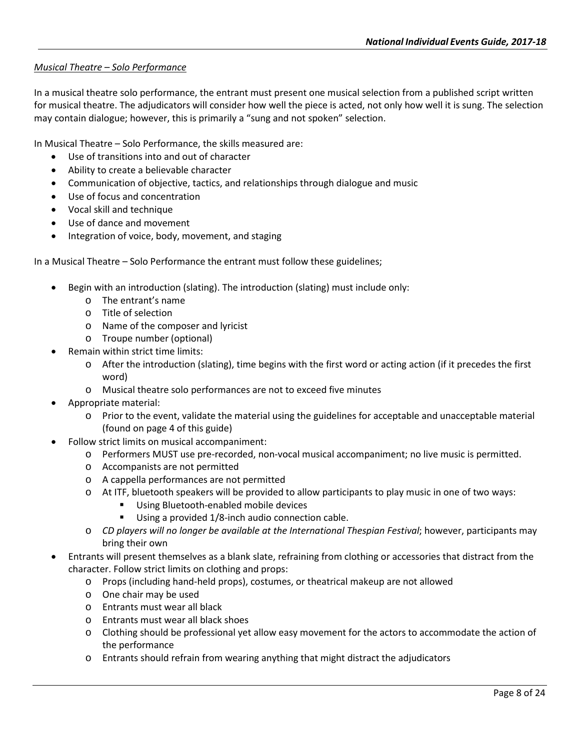# *Musical Theatre – Solo Performance*

In a musical theatre solo performance, the entrant must present one musical selection from a published script written for musical theatre. The adjudicators will consider how well the piece is acted, not only how well it is sung. The selection may contain dialogue; however, this is primarily a "sung and not spoken" selection.

In Musical Theatre – Solo Performance, the skills measured are:

- Use of transitions into and out of character
- Ability to create a believable character
- Communication of objective, tactics, and relationships through dialogue and music
- Use of focus and concentration
- Vocal skill and technique
- Use of dance and movement
- Integration of voice, body, movement, and staging

In a Musical Theatre – Solo Performance the entrant must follow these guidelines;

- Begin with an introduction (slating). The introduction (slating) must include only:
	- o The entrant's name
	- o Title of selection
	- o Name of the composer and lyricist
	- o Troupe number (optional)
- Remain within strict time limits:
	- o After the introduction (slating), time begins with the first word or acting action (if it precedes the first word)
	- o Musical theatre solo performances are not to exceed five minutes
- Appropriate material:
	- o Prior to the event, validate the material using the guidelines for acceptable and unacceptable material (found on page 4 of this guide)
- Follow strict limits on musical accompaniment:
	- o Performers MUST use pre-recorded, non-vocal musical accompaniment; no live music is permitted.
	- o Accompanists are not permitted
	- o A cappella performances are not permitted
	- o At ITF, bluetooth speakers will be provided to allow participants to play music in one of two ways:
		- **Using Bluetooth-enabled mobile devices**
		- Using a provided 1/8-inch audio connection cable.
	- o *CD players will no longer be available at the International Thespian Festival*; however, participants may bring their own
- Entrants will present themselves as a blank slate, refraining from clothing or accessories that distract from the character. Follow strict limits on clothing and props:
	- o Props (including hand-held props), costumes, or theatrical makeup are not allowed
	- o One chair may be used
	- o Entrants must wear all black
	- o Entrants must wear all black shoes
	- o Clothing should be professional yet allow easy movement for the actors to accommodate the action of the performance
	- o Entrants should refrain from wearing anything that might distract the adjudicators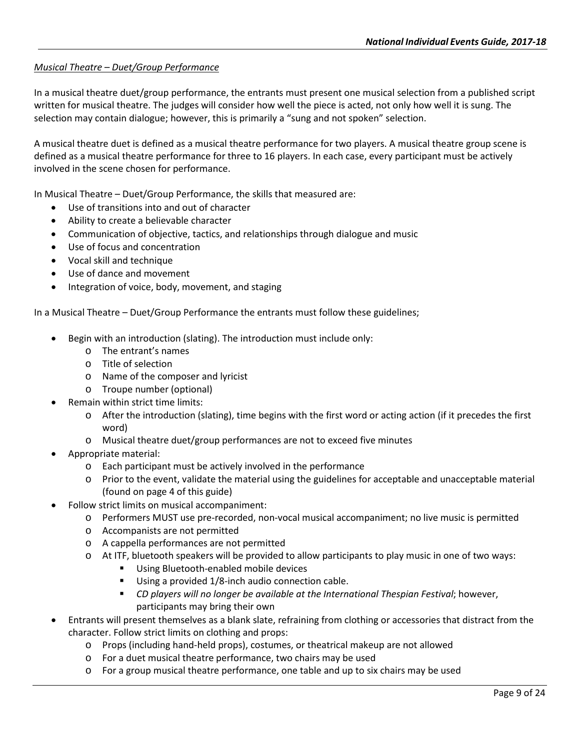# *Musical Theatre – Duet/Group Performance*

In a musical theatre duet/group performance, the entrants must present one musical selection from a published script written for musical theatre. The judges will consider how well the piece is acted, not only how well it is sung. The selection may contain dialogue; however, this is primarily a "sung and not spoken" selection.

A musical theatre duet is defined as a musical theatre performance for two players. A musical theatre group scene is defined as a musical theatre performance for three to 16 players. In each case, every participant must be actively involved in the scene chosen for performance.

In Musical Theatre – Duet/Group Performance, the skills that measured are:

- Use of transitions into and out of character
- Ability to create a believable character
- Communication of objective, tactics, and relationships through dialogue and music
- Use of focus and concentration
- Vocal skill and technique
- Use of dance and movement
- Integration of voice, body, movement, and staging

In a Musical Theatre – Duet/Group Performance the entrants must follow these guidelines;

- Begin with an introduction (slating). The introduction must include only:
	- o The entrant's names
	- o Title of selection
	- o Name of the composer and lyricist
	- o Troupe number (optional)
- Remain within strict time limits:
	- o After the introduction (slating), time begins with the first word or acting action (if it precedes the first word)
	- o Musical theatre duet/group performances are not to exceed five minutes
- Appropriate material:
	- o Each participant must be actively involved in the performance
	- o Prior to the event, validate the material using the guidelines for acceptable and unacceptable material (found on page 4 of this guide)
- Follow strict limits on musical accompaniment:
	- o Performers MUST use pre-recorded, non-vocal musical accompaniment; no live music is permitted
	- o Accompanists are not permitted
	- o A cappella performances are not permitted
	- o At ITF, bluetooth speakers will be provided to allow participants to play music in one of two ways:
		- Using Bluetooth-enabled mobile devices
		- Using a provided 1/8-inch audio connection cable.
		- *CD players will no longer be available at the International Thespian Festival*; however, participants may bring their own
- Entrants will present themselves as a blank slate, refraining from clothing or accessories that distract from the character. Follow strict limits on clothing and props:
	- o Props (including hand-held props), costumes, or theatrical makeup are not allowed
	- o For a duet musical theatre performance, two chairs may be used
	- o For a group musical theatre performance, one table and up to six chairs may be used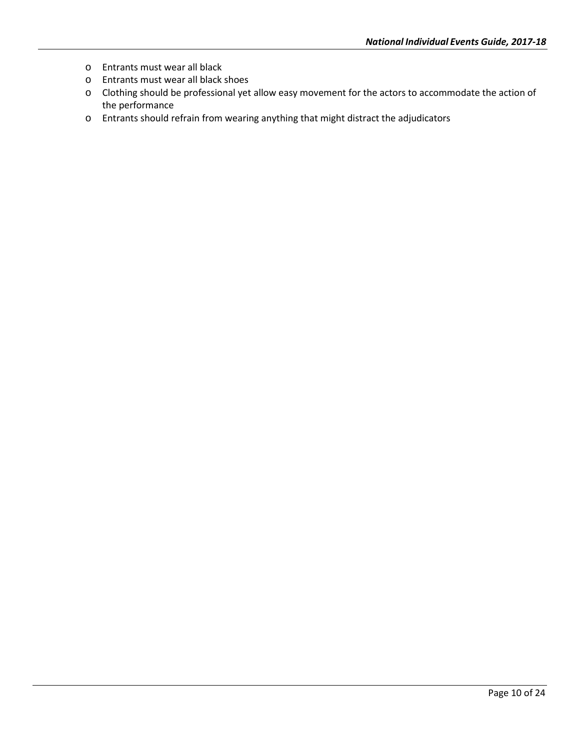- o Entrants must wear all black
- o Entrants must wear all black shoes
- o Clothing should be professional yet allow easy movement for the actors to accommodate the action of the performance
- o Entrants should refrain from wearing anything that might distract the adjudicators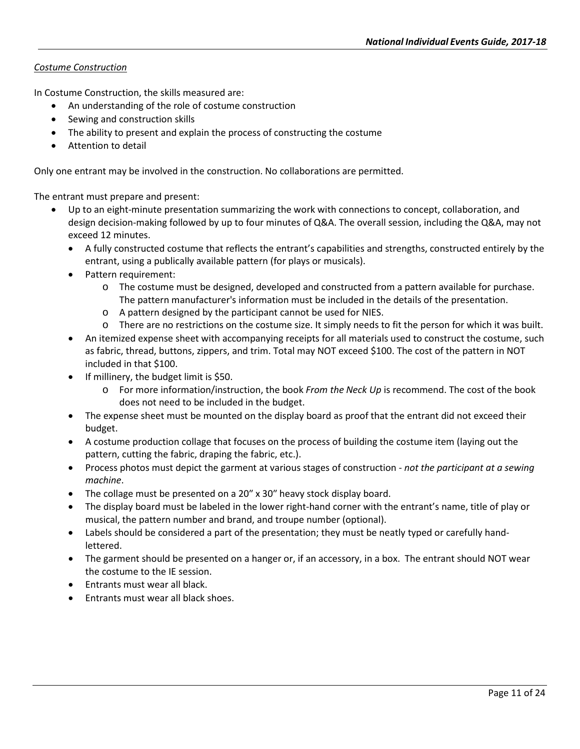# *Costume Construction*

In Costume Construction, the skills measured are:

- An understanding of the role of costume construction
- Sewing and construction skills
- The ability to present and explain the process of constructing the costume
- Attention to detail

Only one entrant may be involved in the construction. No collaborations are permitted.

- Up to an eight-minute presentation summarizing the work with connections to concept, collaboration, and design decision-making followed by up to four minutes of Q&A. The overall session, including the Q&A, may not exceed 12 minutes.
	- A fully constructed costume that reflects the entrant's capabilities and strengths, constructed entirely by the entrant, using a publically available pattern (for plays or musicals).
	- Pattern requirement:
		- o The costume must be designed, developed and constructed from a pattern available for purchase. The pattern manufacturer's information must be included in the details of the presentation.
		- o A pattern designed by the participant cannot be used for NIES.
		- o There are no restrictions on the costume size. It simply needs to fit the person for which it was built.
	- An itemized expense sheet with accompanying receipts for all materials used to construct the costume, such as fabric, thread, buttons, zippers, and trim. Total may NOT exceed \$100. The cost of the pattern in NOT included in that \$100.
	- If millinery, the budget limit is \$50.
		- o For more information/instruction, the book *From the Neck Up* is recommend. The cost of the book does not need to be included in the budget.
	- The expense sheet must be mounted on the display board as proof that the entrant did not exceed their budget.
	- A costume production collage that focuses on the process of building the costume item (laying out the pattern, cutting the fabric, draping the fabric, etc.).
	- Process photos must depict the garment at various stages of construction *not the participant at a sewing machine*.
	- The collage must be presented on a 20″ x 30″ heavy stock display board.
	- The display board must be labeled in the lower right-hand corner with the entrant's name, title of play or musical, the pattern number and brand, and troupe number (optional).
	- Labels should be considered a part of the presentation; they must be neatly typed or carefully handlettered.
	- The garment should be presented on a hanger or, if an accessory, in a box. The entrant should NOT wear the costume to the IE session.
	- Entrants must wear all black.
	- Entrants must wear all black shoes.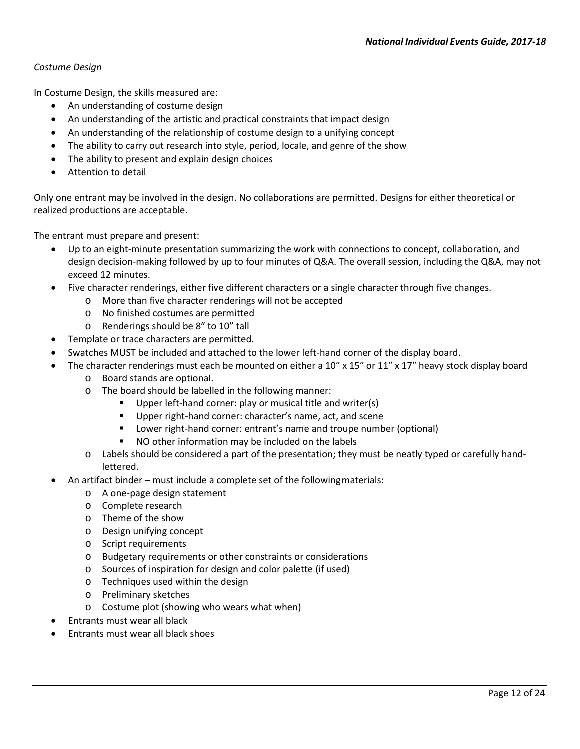# *Costume Design*

In Costume Design, the skills measured are:

- An understanding of costume design
- An understanding of the artistic and practical constraints that impact design
- An understanding of the relationship of costume design to a unifying concept
- The ability to carry out research into style, period, locale, and genre of the show
- The ability to present and explain design choices
- Attention to detail

Only one entrant may be involved in the design. No collaborations are permitted. Designs for either theoretical or realized productions are acceptable.

- Up to an eight-minute presentation summarizing the work with connections to concept, collaboration, and design decision-making followed by up to four minutes of Q&A. The overall session, including the Q&A, may not exceed 12 minutes.
- Five character renderings, either five different characters or a single character through five changes.
	- o More than five character renderings will not be accepted
	- o No finished costumes are permitted
	- o Renderings should be 8″ to 10″ tall
- Template or trace characters are permitted.
- Swatches MUST be included and attached to the lower left-hand corner of the display board.
- The character renderings must each be mounted on either a 10" x 15" or 11" x 17" heavy stock display board
	- o Board stands are optional.
	- o The board should be labelled in the following manner:
		- Upper left-hand corner: play or musical title and writer(s)
		- **Upper right-hand corner: character's name, act, and scene**
		- **E** Lower right-hand corner: entrant's name and troupe number (optional)
		- NO other information may be included on the labels
	- $\circ$  Labels should be considered a part of the presentation; they must be neatly typed or carefully handlettered.
- An artifact binder must include a complete set of the followingmaterials:
	- o A one-page design statement
	- o Complete research
	- o Theme of the show
	- o Design unifying concept
	- o Script requirements
	- o Budgetary requirements or other constraints or considerations
	- o Sources of inspiration for design and color palette (if used)
	- o Techniques used within the design
	- o Preliminary sketches
	- o Costume plot (showing who wears what when)
- Entrants must wear all black
- Entrants must wear all black shoes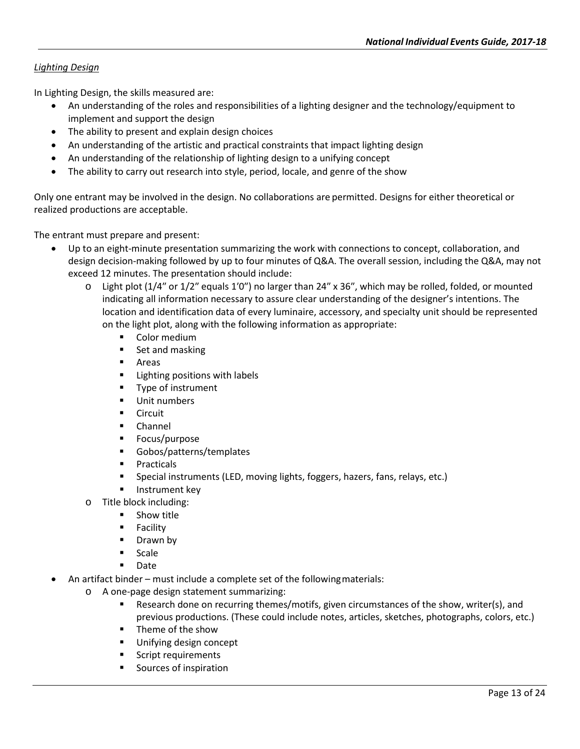# *Lighting Design*

In Lighting Design, the skills measured are:

- An understanding of the roles and responsibilities of a lighting designer and the technology/equipment to implement and support the design
- The ability to present and explain design choices
- An understanding of the artistic and practical constraints that impact lighting design
- An understanding of the relationship of lighting design to a unifying concept
- The ability to carry out research into style, period, locale, and genre of the show

Only one entrant may be involved in the design. No collaborations are permitted. Designs for either theoretical or realized productions are acceptable.

- Up to an eight-minute presentation summarizing the work with connections to concept, collaboration, and design decision-making followed by up to four minutes of Q&A. The overall session, including the Q&A, may not exceed 12 minutes. The presentation should include:
	- $\circ$  Light plot (1/4" or 1/2" equals 1'0") no larger than 24" x 36", which may be rolled, folded, or mounted indicating all information necessary to assure clear understanding of the designer's intentions. The location and identification data of every luminaire, accessory, and specialty unit should be represented on the light plot, along with the following information as appropriate:
		- **•** Color medium
		- Set and masking
		- **E** Areas
		- **EXECUTE:** Lighting positions with labels
		- **Type of instrument**
		- **Unit numbers**
		- **Circuit**
		- **Channel**
		- **Focus/purpose**
		- Gobos/patterns/templates
		- **Practicals**
		- Special instruments (LED, moving lights, foggers, hazers, fans, relays, etc.)
		- Instrument key
	- o Title block including:
		- **Show title**
		- **Facility**
		- Drawn by
		- **Scale**
		- Date
- An artifact binder must include a complete set of the followingmaterials:
	- o A one-page design statement summarizing:
		- Research done on recurring themes/motifs, given circumstances of the show, writer(s), and previous productions. (These could include notes, articles, sketches, photographs, colors, etc.)
		- Theme of the show
		- Unifying design concept
		- Script requirements
		- Sources of inspiration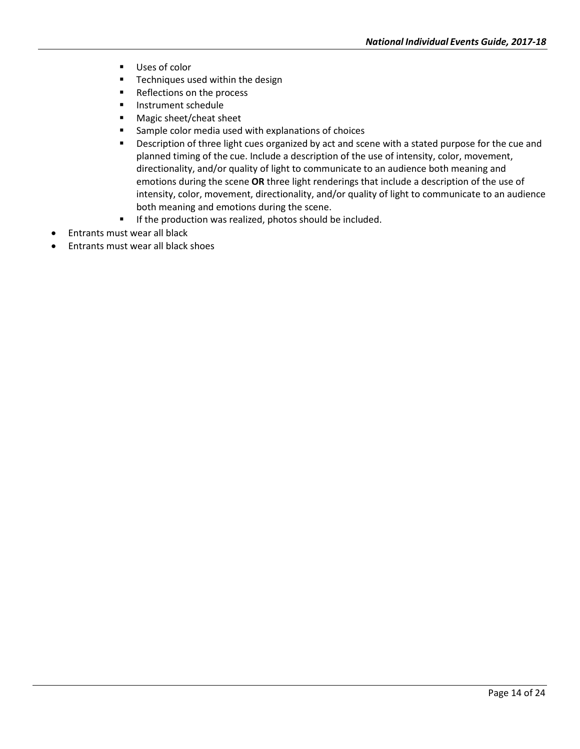- Uses of color
- **Techniques used within the design**
- Reflections on the process
- **Instrument schedule**
- Magic sheet/cheat sheet
- **Sample color media used with explanations of choices**
- **Description of three light cues organized by act and scene with a stated purpose for the cue and** planned timing of the cue. Include a description of the use of intensity, color, movement, directionality, and/or quality of light to communicate to an audience both meaning and emotions during the scene **OR** three light renderings that include a description of the use of intensity, color, movement, directionality, and/or quality of light to communicate to an audience both meaning and emotions during the scene.
- **If the production was realized, photos should be included.**
- Entrants must wear all black
- Entrants must wear all black shoes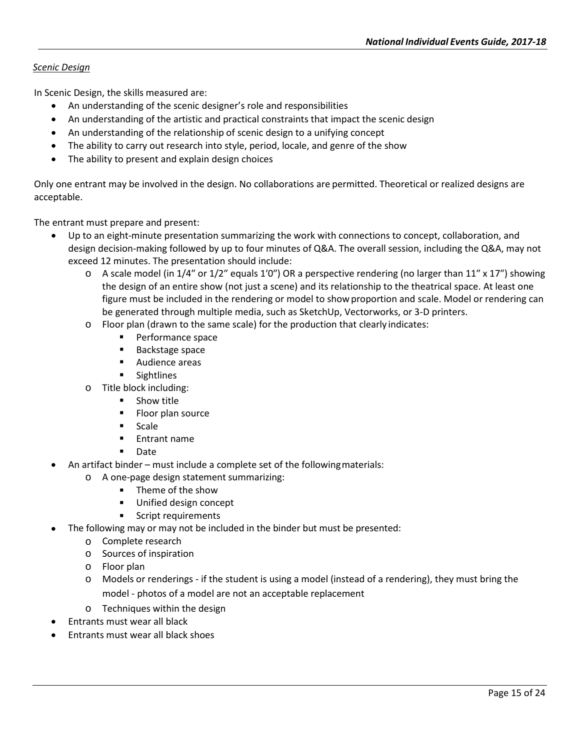# *Scenic Design*

In Scenic Design, the skills measured are:

- An understanding of the scenic designer's role and responsibilities
- An understanding of the artistic and practical constraints that impact the scenic design
- An understanding of the relationship of scenic design to a unifying concept
- The ability to carry out research into style, period, locale, and genre of the show
- The ability to present and explain design choices

Only one entrant may be involved in the design. No collaborations are permitted. Theoretical or realized designs are acceptable.

- Up to an eight-minute presentation summarizing the work with connections to concept, collaboration, and design decision-making followed by up to four minutes of Q&A. The overall session, including the Q&A, may not exceed 12 minutes. The presentation should include:
	- o A scale model (in 1/4″ or 1/2″ equals 1′0″) OR a perspective rendering (no larger than 11″ x 17″) showing the design of an entire show (not just a scene) and its relationship to the theatrical space. At least one figure must be included in the rendering or model to show proportion and scale. Model or rendering can be generated through multiple media, such as SketchUp, Vectorworks, or 3-D printers.
	- o Floor plan (drawn to the same scale) for the production that clearly indicates:<br>Performance space
		- Performance space
		- **Backstage space**
		- **Audience areas**
		- **Sightlines**
	- o Title block including:
		- **Show title**
		- **Floor plan source**
		- **Scale**
		- **Entrant name**
		- **Date**
	- An artifact binder must include a complete set of the followingmaterials:
		- o A one-page design statement summarizing:
			- **Theme of the show**
			- **Unified design concept**
			- **Script requirements**
- The following may or may not be included in the binder but must be presented:
	- o Complete research
	- o Sources of inspiration
	- o Floor plan
	- $\circ$  Models or renderings if the student is using a model (instead of a rendering), they must bring the model - photos of a model are not an acceptable replacement
	- o Techniques within the design
- Entrants must wear all black
- Entrants must wear all black shoes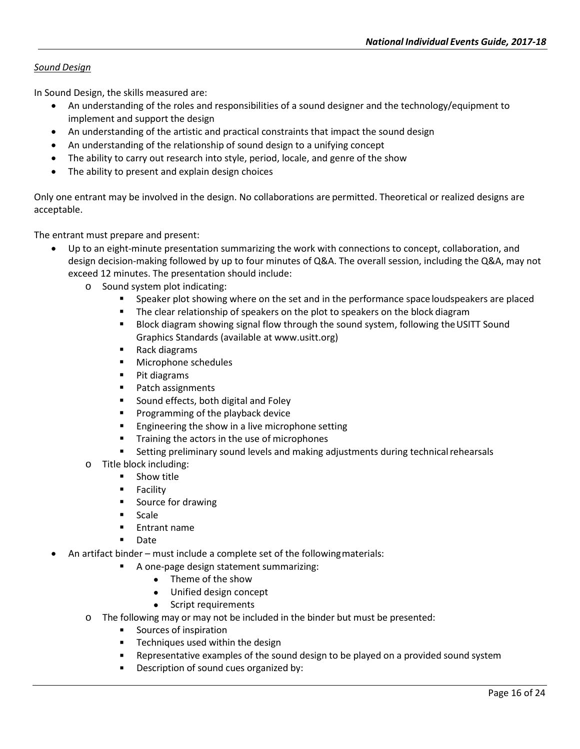# *Sound Design*

In Sound Design, the skills measured are:

- An understanding of the roles and responsibilities of a sound designer and the technology/equipment to implement and support the design
- An understanding of the artistic and practical constraints that impact the sound design
- An understanding of the relationship of sound design to a unifying concept
- The ability to carry out research into style, period, locale, and genre of the show
- The ability to present and explain design choices

Only one entrant may be involved in the design. No collaborations are permitted. Theoretical or realized designs are acceptable.

- Up to an eight-minute presentation summarizing the work with connections to concept, collaboration, and design decision-making followed by up to four minutes of Q&A. The overall session, including the Q&A, may not exceed 12 minutes. The presentation should include:
	- o Sound system plot indicating:
		- **Speaker plot showing where on the set and in the performance space loudspeakers are placed**
		- **The clear relationship of speakers on the plot to speakers on the block diagram**
		- **BLOCK DIAGONG** Showing signal flow through the sound system, following the USITT Sound Graphics Standards (available at www.usitt.org)
		- Rack diagrams
		- **Microphone schedules**
		- **Pit diagrams**
		- **Patch assignments**
		- Sound effects, both digital and Foley
		- **Programming of the playback device**
		- **Engineering the show in a live microphone setting**
		- **Training the actors in the use of microphones**
		- **Setting preliminary sound levels and making adjustments during technical rehearsals**
	- o Title block including:
		- **Show title**
		- **Facility**
		- **Source for drawing**
		- Scale
		- Entrant name
		- Date
- An artifact binder must include a complete set of the followingmaterials:
	- A one-page design statement summarizing:
		- Theme of the show
		- Unified design concept
		- Script requirements
	- $\circ$  The following may or may not be included in the binder but must be presented:
		- **Sources of inspiration**
		- **Techniques used within the design**
		- Representative examples of the sound design to be played on a provided sound system
		- **Description of sound cues organized by:**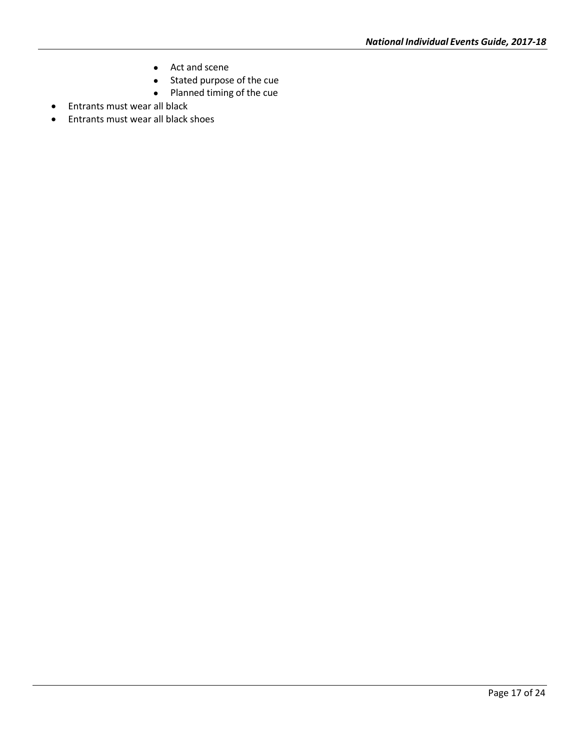- Act and scene
- Stated purpose of the cue
- Planned timing of the cue
- Entrants must wear all black
- Entrants must wear all black shoes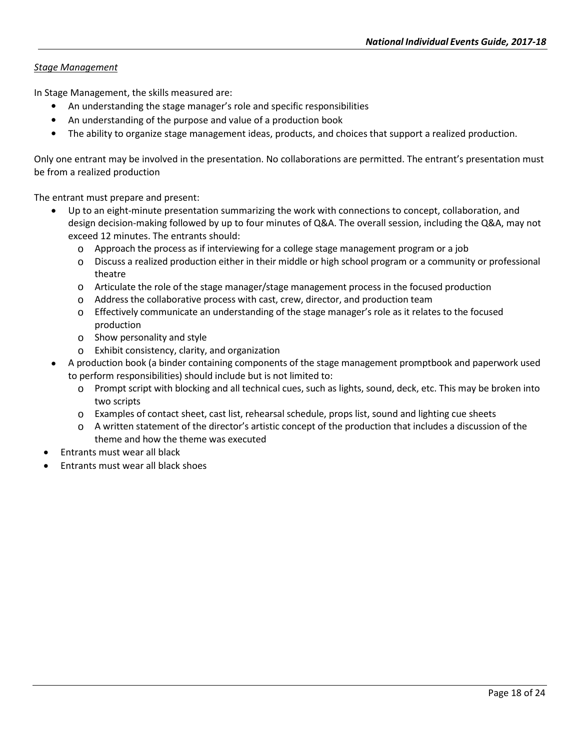# *Stage Management*

In Stage Management, the skills measured are:

- An understanding the stage manager's role and specific responsibilities
- An understanding of the purpose and value of a production book
- The ability to organize stage management ideas, products, and choices that support a realized production.

Only one entrant may be involved in the presentation. No collaborations are permitted. The entrant's presentation must be from a realized production

- Up to an eight-minute presentation summarizing the work with connections to concept, collaboration, and design decision-making followed by up to four minutes of Q&A. The overall session, including the Q&A, may not exceed 12 minutes. The entrants should:
	- $\circ$  Approach the process as if interviewing for a college stage management program or a job
	- o Discuss a realized production either in their middle or high school program or a community or professional theatre
	- $\circ$  Articulate the role of the stage manager/stage management process in the focused production
	- $\circ$  Address the collaborative process with cast, crew, director, and production team
	- o Effectively communicate an understanding of the stage manager's role as it relates to the focused production
	- o Show personality and style
	- o Exhibit consistency, clarity, and organization
- A production book (a binder containing components of the stage management promptbook and paperwork used to perform responsibilities) should include but is not limited to:
	- $\circ$  Prompt script with blocking and all technical cues, such as lights, sound, deck, etc. This may be broken into two scripts
	- o Examples of contact sheet, cast list, rehearsal schedule, props list, sound and lighting cue sheets
	- $\circ$  A written statement of the director's artistic concept of the production that includes a discussion of the theme and how the theme was executed
- Entrants must wear all black
- Entrants must wear all black shoes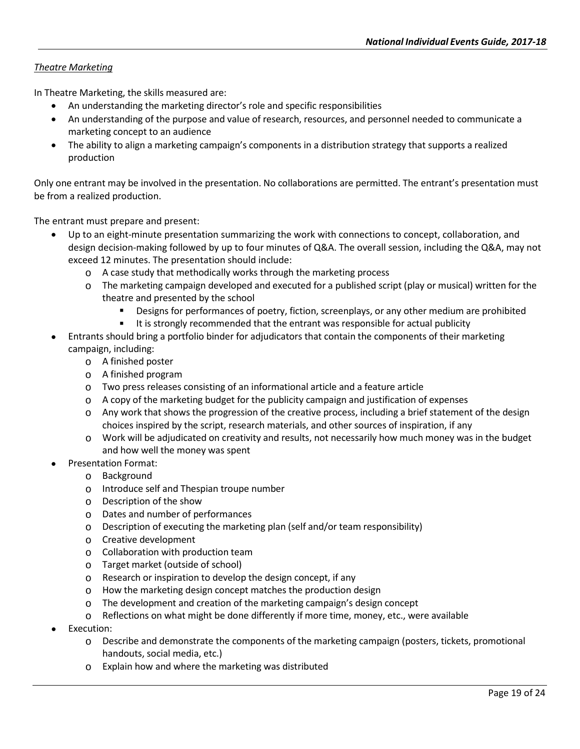# *Theatre Marketing*

In Theatre Marketing, the skills measured are:

- An understanding the marketing director's role and specific responsibilities
- An understanding of the purpose and value of research, resources, and personnel needed to communicate a marketing concept to an audience
- The ability to align a marketing campaign's components in a distribution strategy that supports a realized production

Only one entrant may be involved in the presentation. No collaborations are permitted. The entrant's presentation must be from a realized production.

- Up to an eight-minute presentation summarizing the work with connections to concept, collaboration, and design decision-making followed by up to four minutes of Q&A. The overall session, including the Q&A, may not exceed 12 minutes. The presentation should include:
	- o A case study that methodically works through the marketing process
	- $\circ$  The marketing campaign developed and executed for a published script (play or musical) written for the theatre and presented by the school
		- Designs for performances of poetry, fiction, screenplays, or any other medium are prohibited
		- It is strongly recommended that the entrant was responsible for actual publicity
- Entrants should bring a portfolio binder for adjudicators that contain the components of their marketing campaign, including:
	- o A finished poster
	- o A finished program
	- $\circ$  Two press releases consisting of an informational article and a feature article
	- $\circ$  A copy of the marketing budget for the publicity campaign and justification of expenses
	- o Any work that shows the progression of the creative process, including a brief statement of the design choices inspired by the script, research materials, and other sources of inspiration, if any
	- $\circ$  Work will be adjudicated on creativity and results, not necessarily how much money was in the budget and how well the money was spent
- Presentation Format:
	- o Background
	- o Introduce self and Thespian troupe number
	- o Description of the show
	- o Dates and number of performances
	- $\circ$  Description of executing the marketing plan (self and/or team responsibility)
	- o Creative development
	- $\circ$  Collaboration with production team
	- o Target market (outside of school)
	- o Research or inspiration to develop the design concept, if any
	- o How the marketing design concept matches the production design
	- $\circ$  The development and creation of the marketing campaign's design concept
	- $\circ$  Reflections on what might be done differently if more time, money, etc., were available
- Execution:
	- $\circ$  Describe and demonstrate the components of the marketing campaign (posters, tickets, promotional handouts, social media, etc.)
	- o Explain how and where the marketing was distributed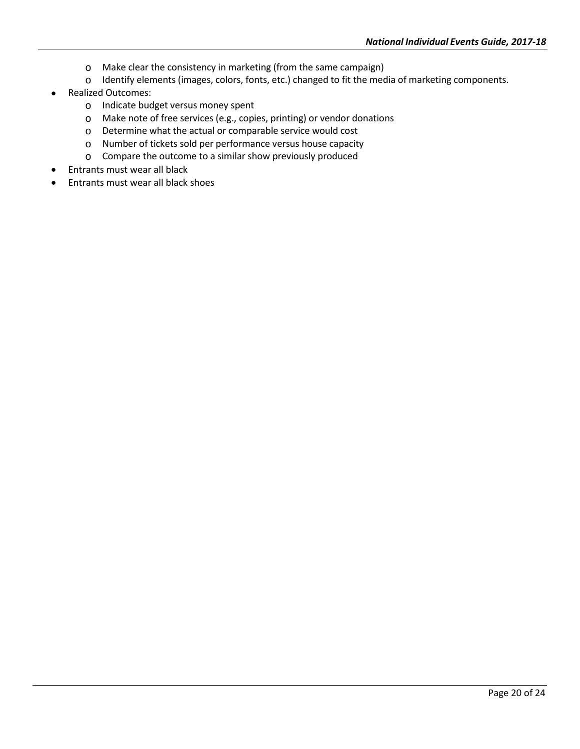- o Make clear the consistency in marketing (from the same campaign)
- o Identify elements (images, colors, fonts, etc.) changed to fit the media of marketing components.
- Realized Outcomes:
	- o Indicate budget versus money spent
	- o Make note of free services (e.g., copies, printing) or vendor donations
	- o Determine what the actual or comparable service would cost
	- o Number of tickets sold per performance versus house capacity
	- o Compare the outcome to a similar show previously produced
- Entrants must wear all black
- Entrants must wear all black shoes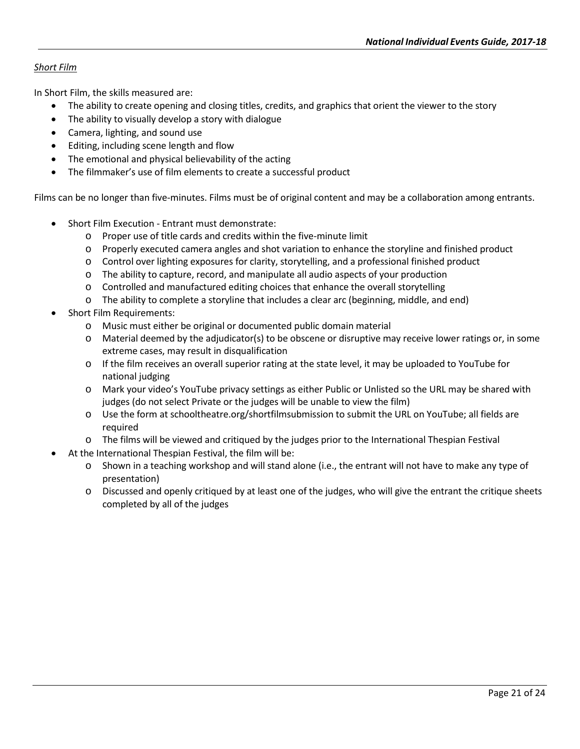# *Short Film*

In Short Film, the skills measured are:

- The ability to create opening and closing titles, credits, and graphics that orient the viewer to the story
- The ability to visually develop a story with dialogue
- Camera, lighting, and sound use
- Editing, including scene length and flow
- The emotional and physical believability of the acting
- The filmmaker's use of film elements to create a successful product

Films can be no longer than five-minutes. Films must be of original content and may be a collaboration among entrants.

- Short Film Execution Entrant must demonstrate:
	- o Proper use of title cards and credits within the five-minute limit
	- o Properly executed camera angles and shot variation to enhance the storyline and finished product
	- o Control over lighting exposures for clarity, storytelling, and a professional finished product
	- o The ability to capture, record, and manipulate all audio aspects of your production
	- $\circ$  Controlled and manufactured editing choices that enhance the overall storytelling
	- $\circ$  The ability to complete a storyline that includes a clear arc (beginning, middle, and end)
- Short Film Requirements:
	- o Music must either be original or documented public domain material
	- $\circ$  Material deemed by the adjudicator(s) to be obscene or disruptive may receive lower ratings or, in some extreme cases, may result in disqualification
	- o If the film receives an overall superior rating at the state level, it may be uploaded to YouTube for national judging
	- o Mark your video's YouTube privacy settings as either Public or Unlisted so the URL may be shared with judges (do not select Private or the judges will be unable to view the film)
	- o Use the form at schooltheatre.org/shortfilmsubmission to submit the URL on YouTube; all fields are required
	- o The films will be viewed and critiqued by the judges prior to the International Thespian Festival
- At the International Thespian Festival, the film will be:
	- o Shown in a teaching workshop and will stand alone (i.e., the entrant will not have to make any type of presentation)
	- $\circ$  Discussed and openly critiqued by at least one of the judges, who will give the entrant the critique sheets completed by all of the judges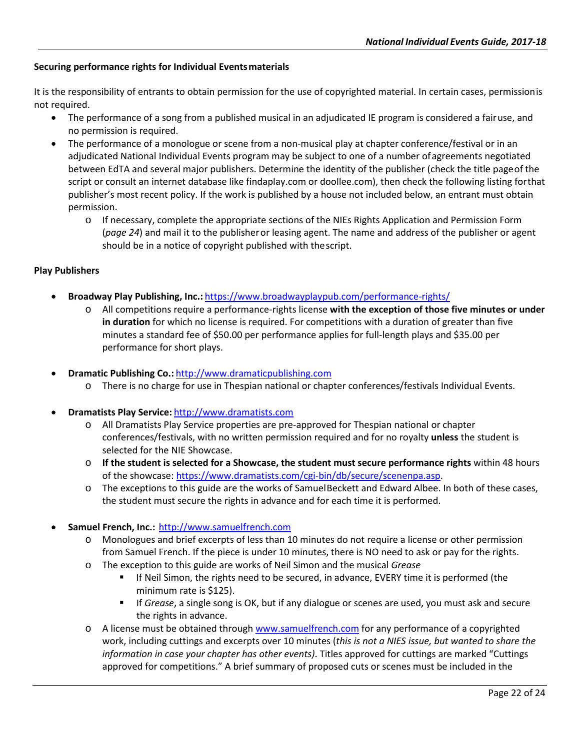### **Securing performance rights for Individual Eventsmaterials**

It is the responsibility of entrants to obtain permission for the use of copyrighted material. In certain cases, permissionis not required.

- The performance of a song from a published musical in an adjudicated IE program is considered a fairuse, and no permission is required.
- The performance of a monologue or scene from a non-musical play at chapter conference/festival or in an adjudicated National Individual Events program may be subject to one of a number of agreements negotiated between EdTA and several major publishers. Determine the identity of the publisher (check the title pageof the script or consult an internet database like findaplay.com or doollee.com), then check the following listing forthat publisher's most recent policy. If the work is published by a house not included below, an entrant must obtain permission.
	- o If necessary, complete the appropriate sections of the NIEs Rights Application and Permission Form (*page 24*) and mail it to the publisheror leasing agent. The name and address of the publisher or agent should be in a notice of copyright published with thescript.

#### **Play Publishers**

- **Broadway Play Publishing, Inc.:** <https://www.broadwayplaypub.com/performance-rights/>
	- o All competitions require a performance-rights license **with the exception of those five minutes or under in duration** for which no license is required. For competitions with a duration of greater than five minutes a standard fee of \$50.00 per performance applies for full-length plays and \$35.00 per performance for short plays.
- **Dramatic Publishing Co.:** [http://www.dramaticpublishing.com](http://www.dramaticpublishing.com/)
	- o There is no charge for use in Thespian national or chapter conferences/festivals Individual Events.
- **Dramatists Play Service:** [http://www.dramatists.com](http://www.dramatists.com/)
	- o All Dramatists Play Service properties are pre-approved for Thespian national or chapter conferences/festivals, with no written permission required and for no royalty **unless** the student is selected for the NIE Showcase.
	- o **If the student is selected for a Showcase, the student must secure performance rights** within 48 hours of the showcase: [https://www.dramatists.com/cgi-bin/db/secure/scenenpa.asp.](https://www.dramatists.com/cgi-bin/db/secure/scenenpa.asp)
	- o The exceptions to this guide are the works of SamuelBeckett and Edward Albee. In both of these cases, the student must secure the rights in advance and for each time it is performed.
- **Samuel French, Inc.:** [http://www.samuelfrench.com](http://www.samuelfrench.com/)
	- o Monologues and brief excerpts of less than 10 minutes do not require a license or other permission from Samuel French. If the piece is under 10 minutes, there is NO need to ask or pay for the rights.
	- o The exception to this guide are works of Neil Simon and the musical *Grease*
		- If Neil Simon, the rights need to be secured, in advance, EVERY time it is performed (the minimum rate is \$125).
		- If *Grease*, a single song is OK, but if any dialogue or scenes are used, you must ask and secure the rights in advance.
	- o A license must be obtained throug[h www.samuelfrench.com](http://www.samuelfrench.com/) for any performance of a copyrighted work, including cuttings and excerpts over 10 minutes (*this is not a NIES issue, but wanted to share the information in case your chapter has other events)*. Titles approved for cuttings are marked "Cuttings approved for competitions." A brief summary of proposed cuts or scenes must be included in the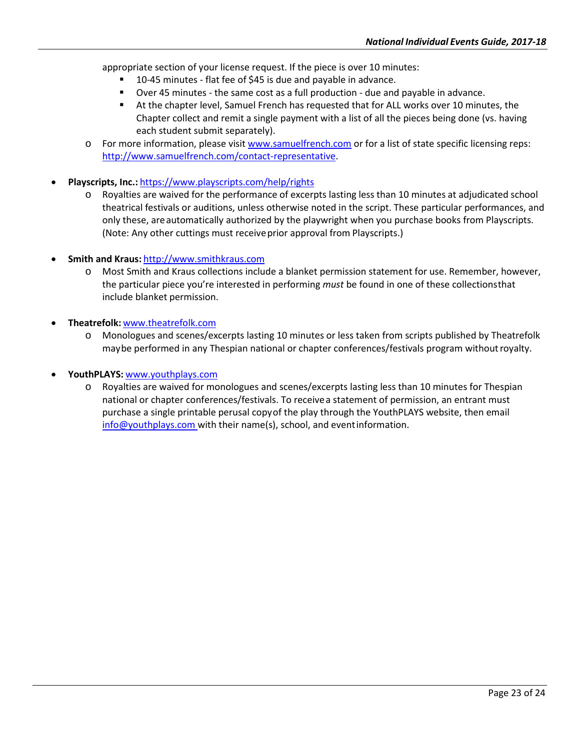appropriate section of your license request. If the piece is over 10 minutes:

- 10-45 minutes flat fee of \$45 is due and payable in advance.
- Over 45 minutes the same cost as a full production due and payable in advance.
- At the chapter level, Samuel French has requested that for ALL works over 10 minutes, the Chapter collect and remit a single payment with a list of all the pieces being done (vs. having each student submit separately).
- o For more information, please visi[t www.samuelfrench.com](http://www.samuelfrench.com/) or for a list of state specific licensing reps: [http://www.samuelfrench.com/contact-representative.](http://www.samuelfrench.com/contact-representative)
- **Playscripts, Inc.:** <https://www.playscripts.com/help/rights>
	- o Royalties are waived for the performance of excerpts lasting less than 10 minutes at adjudicated school theatrical festivals or auditions, unless otherwise noted in the script. These particular performances, and only these, areautomatically authorized by the playwright when you purchase books from Playscripts. (Note: Any other cuttings must receive prior approval from Playscripts.)
- **Smith and Kraus:** [http://www.smithkraus.com](http://www.smithkraus.com/)
	- o Most Smith and Kraus collections include a blanket permission statement for use. Remember, however, the particular piece you're interested in performing *must* be found in one of these collectionsthat include blanket permission.
- **Theatrefolk:** [www.theatrefolk.com](http://www.theatrefolk.com/)
	- o Monologues and scenes/excerpts lasting 10 minutes or less taken from scripts published by Theatrefolk maybe performed in any Thespian national or chapter conferences/festivals program withoutroyalty.
- **YouthPLAYS:** [www.youthplays.com](http://youthplays.com/)
	- o Royalties are waived for monologues and scenes/excerpts lasting less than 10 minutes for Thespian national or chapter conferences/festivals. To receivea statement of permission, an entrant must purchase a single printable perusal copyof the play through the YouthPLAYS website, then email [info@youthplays.com w](mailto:info@youthplays.com)ith their name(s), school, and eventinformation.